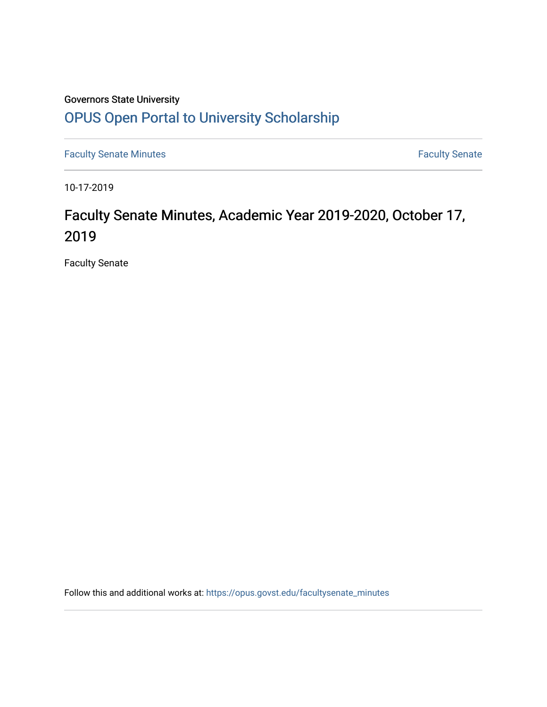## Governors State University [OPUS Open Portal to University Scholarship](https://opus.govst.edu/)

[Faculty Senate Minutes](https://opus.govst.edu/facultysenate_minutes) **Faculty** Senate Minutes

10-17-2019

# Faculty Senate Minutes, Academic Year 2019-2020, October 17, 2019

Faculty Senate

Follow this and additional works at: [https://opus.govst.edu/facultysenate\\_minutes](https://opus.govst.edu/facultysenate_minutes?utm_source=opus.govst.edu%2Ffacultysenate_minutes%2F177&utm_medium=PDF&utm_campaign=PDFCoverPages)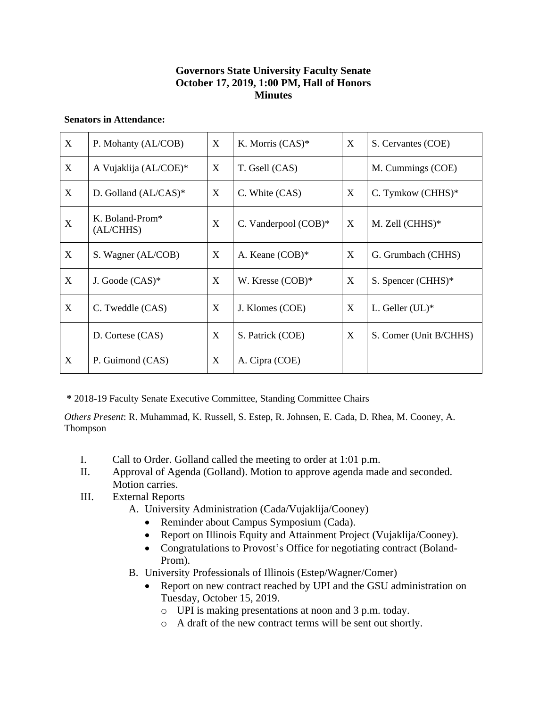### **Governors State University Faculty Senate October 17, 2019, 1:00 PM, Hall of Honors Minutes**

#### **Senators in Attendance:**

| X                         | P. Mohanty (AL/COB)                      | X | K. Morris (CAS)*     | X | S. Cervantes (COE)     |
|---------------------------|------------------------------------------|---|----------------------|---|------------------------|
| X                         | A Vujaklija (AL/COE)*                    | X | T. Gsell (CAS)       |   | M. Cummings (COE)      |
| X                         | D. Golland (AL/CAS)*                     | X | C. White (CAS)       | X | C. Tymkow $(CHHS)^*$   |
| $\boldsymbol{\mathrm{X}}$ | K. Boland-Prom <sup>*</sup><br>(AL/CHHS) | X | C. Vanderpool (COB)* | X | M. Zell (CHHS)*        |
| X                         | S. Wagner (AL/COB)                       | X | A. Keane (COB)*      | X | G. Grumbach (CHHS)     |
| X                         | J. Goode $(CAS)^*$                       | X | W. Kresse (COB)*     | X | S. Spencer (CHHS)*     |
| X                         | C. Tweddle (CAS)                         | X | J. Klomes (COE)      | X | L. Geller $(UL)^*$     |
|                           | D. Cortese (CAS)                         | X | S. Patrick (COE)     | X | S. Comer (Unit B/CHHS) |
| X                         | P. Guimond (CAS)                         | X | A. Cipra (COE)       |   |                        |

**\*** 2018-19 Faculty Senate Executive Committee, Standing Committee Chairs

*Others Present*: R. Muhammad, K. Russell, S. Estep, R. Johnsen, E. Cada, D. Rhea, M. Cooney, A. Thompson

- I. Call to Order. Golland called the meeting to order at 1:01 p.m.
- II. Approval of Agenda (Golland). Motion to approve agenda made and seconded. Motion carries.
- III. External Reports
	- A. University Administration (Cada/Vujaklija/Cooney)
		- Reminder about Campus Symposium (Cada).
		- Report on Illinois Equity and Attainment Project (Vujaklija/Cooney).
		- Congratulations to Provost's Office for negotiating contract (Boland-Prom).
	- B. University Professionals of Illinois (Estep/Wagner/Comer)
		- Report on new contract reached by UPI and the GSU administration on Tuesday, October 15, 2019.
			- o UPI is making presentations at noon and 3 p.m. today.
			- o A draft of the new contract terms will be sent out shortly.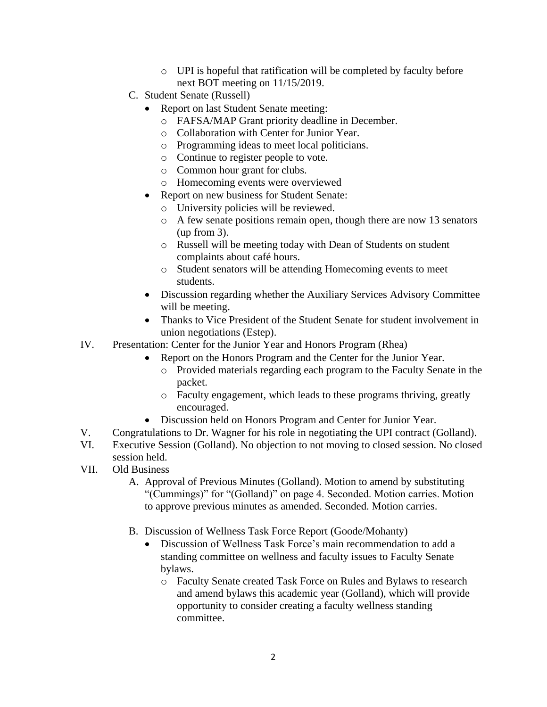- o UPI is hopeful that ratification will be completed by faculty before next BOT meeting on 11/15/2019.
- C. Student Senate (Russell)
	- Report on last Student Senate meeting:
		- o FAFSA/MAP Grant priority deadline in December.
		- o Collaboration with Center for Junior Year.
		- o Programming ideas to meet local politicians.
		- o Continue to register people to vote.
		- o Common hour grant for clubs.
		- o Homecoming events were overviewed
	- Report on new business for Student Senate:
		- o University policies will be reviewed.
		- o A few senate positions remain open, though there are now 13 senators (up from 3).
		- o Russell will be meeting today with Dean of Students on student complaints about café hours.
		- o Student senators will be attending Homecoming events to meet students.
	- Discussion regarding whether the Auxiliary Services Advisory Committee will be meeting.
	- Thanks to Vice President of the Student Senate for student involvement in union negotiations (Estep).
- IV. Presentation: Center for the Junior Year and Honors Program (Rhea)
	- Report on the Honors Program and the Center for the Junior Year.
		- o Provided materials regarding each program to the Faculty Senate in the packet.
		- o Faculty engagement, which leads to these programs thriving, greatly encouraged.
	- Discussion held on Honors Program and Center for Junior Year.
- V. Congratulations to Dr. Wagner for his role in negotiating the UPI contract (Golland).
- VI. Executive Session (Golland). No objection to not moving to closed session. No closed session held.
- VII. Old Business
	- A. Approval of Previous Minutes (Golland). Motion to amend by substituting "(Cummings)" for "(Golland)" on page 4. Seconded. Motion carries. Motion to approve previous minutes as amended. Seconded. Motion carries.
	- B. Discussion of Wellness Task Force Report (Goode/Mohanty)
		- Discussion of Wellness Task Force's main recommendation to add a standing committee on wellness and faculty issues to Faculty Senate bylaws.
			- o Faculty Senate created Task Force on Rules and Bylaws to research and amend bylaws this academic year (Golland), which will provide opportunity to consider creating a faculty wellness standing committee.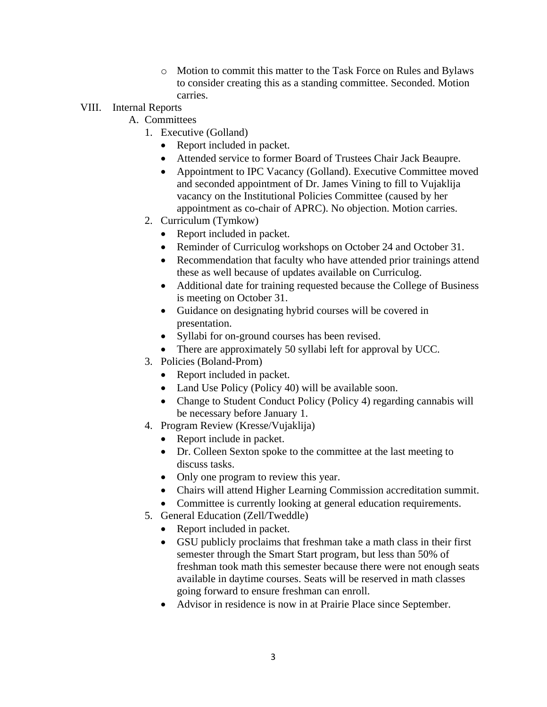o Motion to commit this matter to the Task Force on Rules and Bylaws to consider creating this as a standing committee. Seconded. Motion carries.

## VIII. Internal Reports

- A. Committees
	- 1. Executive (Golland)
		- Report included in packet.
		- Attended service to former Board of Trustees Chair Jack Beaupre.
		- Appointment to IPC Vacancy (Golland). Executive Committee moved and seconded appointment of Dr. James Vining to fill to Vujaklija vacancy on the Institutional Policies Committee (caused by her appointment as co-chair of APRC). No objection. Motion carries.
	- 2. Curriculum (Tymkow)
		- Report included in packet.
		- Reminder of Curriculog workshops on October 24 and October 31.
		- Recommendation that faculty who have attended prior trainings attend these as well because of updates available on Curriculog.
		- Additional date for training requested because the College of Business is meeting on October 31.
		- Guidance on designating hybrid courses will be covered in presentation.
		- Syllabi for on-ground courses has been revised.
		- There are approximately 50 syllabi left for approval by UCC.
	- 3. Policies (Boland-Prom)
		- Report included in packet.
		- Land Use Policy (Policy 40) will be available soon.
		- Change to Student Conduct Policy (Policy 4) regarding cannabis will be necessary before January 1.
	- 4. Program Review (Kresse/Vujaklija)
		- Report include in packet.
		- Dr. Colleen Sexton spoke to the committee at the last meeting to discuss tasks.
		- Only one program to review this year.
		- Chairs will attend Higher Learning Commission accreditation summit.
		- Committee is currently looking at general education requirements.
	- 5. General Education (Zell/Tweddle)
		- Report included in packet.
		- GSU publicly proclaims that freshman take a math class in their first semester through the Smart Start program, but less than 50% of freshman took math this semester because there were not enough seats available in daytime courses. Seats will be reserved in math classes going forward to ensure freshman can enroll.
		- Advisor in residence is now in at Prairie Place since September.